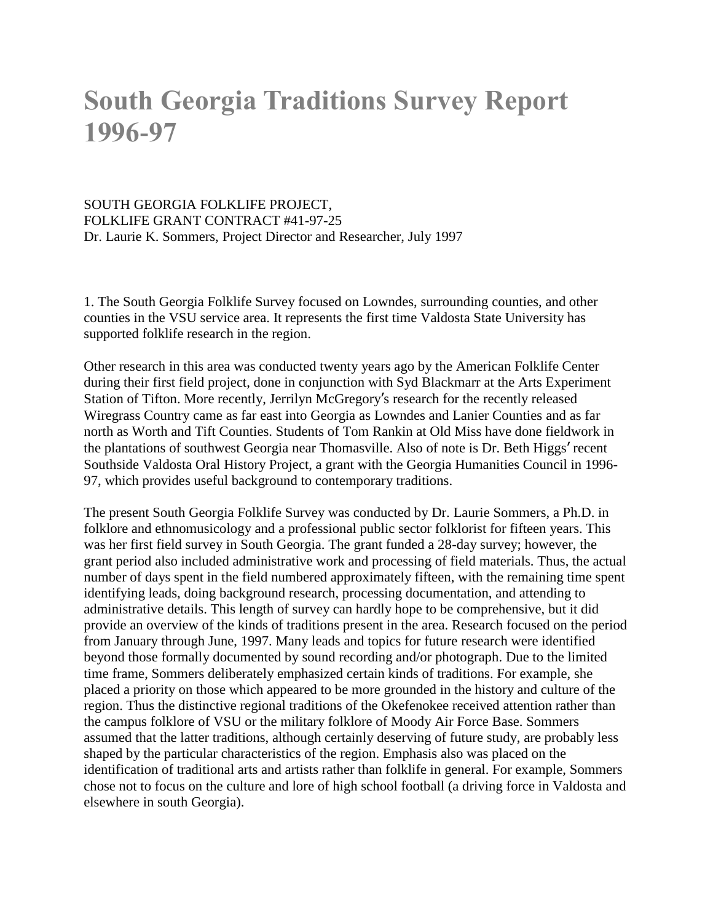# **South Georgia Traditions Survey Report 1996-97**

SOUTH GEORGIA FOLKLIFE PROJECT, FOLKLIFE GRANT CONTRACT #41-97-25 Dr. Laurie K. Sommers, Project Director and Researcher, July 1997

1. The South Georgia Folklife Survey focused on Lowndes, surrounding counties, and other counties in the VSU service area. It represents the first time Valdosta State University has supported folklife research in the region.

Other research in this area was conducted twenty years ago by the American Folklife Center during their first field project, done in conjunction with Syd Blackmarr at the Arts Experiment Station of Tifton. More recently, Jerrilyn McGregory's research for the recently released Wiregrass Country came as far east into Georgia as Lowndes and Lanier Counties and as far north as Worth and Tift Counties. Students of Tom Rankin at Old Miss have done fieldwork in the plantations of southwest Georgia near Thomasville. Also of note is Dr. Beth Higgs' recent Southside Valdosta Oral History Project, a grant with the Georgia Humanities Council in 1996- 97, which provides useful background to contemporary traditions.

The present South Georgia Folklife Survey was conducted by Dr. Laurie Sommers, a Ph.D. in folklore and ethnomusicology and a professional public sector folklorist for fifteen years. This was her first field survey in South Georgia. The grant funded a 28-day survey; however, the grant period also included administrative work and processing of field materials. Thus, the actual number of days spent in the field numbered approximately fifteen, with the remaining time spent identifying leads, doing background research, processing documentation, and attending to administrative details. This length of survey can hardly hope to be comprehensive, but it did provide an overview of the kinds of traditions present in the area. Research focused on the period from January through June, 1997. Many leads and topics for future research were identified beyond those formally documented by sound recording and/or photograph. Due to the limited time frame, Sommers deliberately emphasized certain kinds of traditions. For example, she placed a priority on those which appeared to be more grounded in the history and culture of the region. Thus the distinctive regional traditions of the Okefenokee received attention rather than the campus folklore of VSU or the military folklore of Moody Air Force Base. Sommers assumed that the latter traditions, although certainly deserving of future study, are probably less shaped by the particular characteristics of the region. Emphasis also was placed on the identification of traditional arts and artists rather than folklife in general. For example, Sommers chose not to focus on the culture and lore of high school football (a driving force in Valdosta and elsewhere in south Georgia).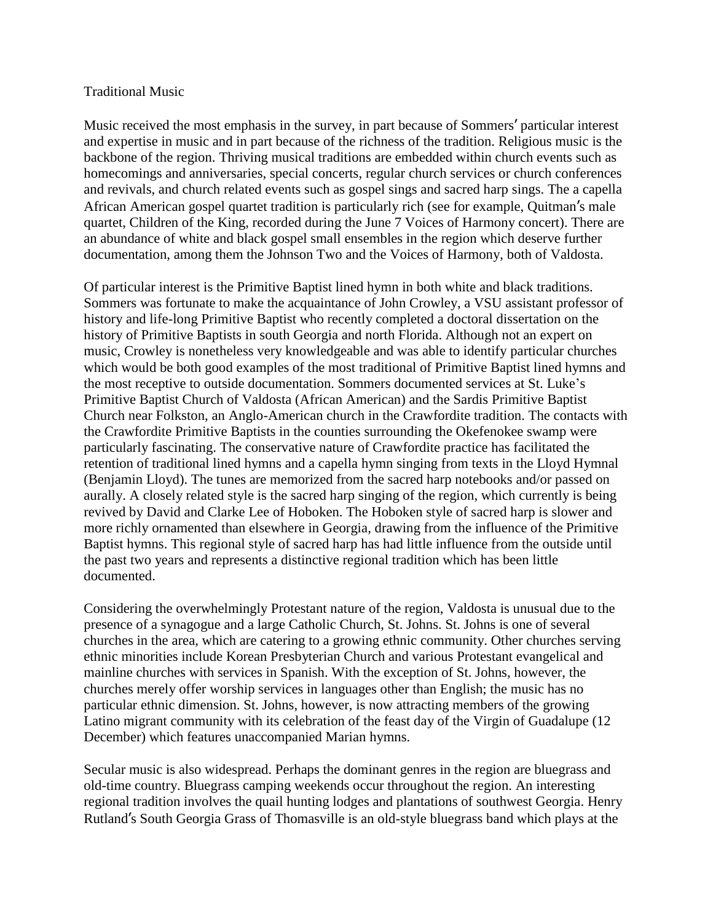#### Traditional Music

Music received the most emphasis in the survey, in part because of Sommers' particular interest and expertise in music and in part because of the richness of the tradition. Religious music is the backbone of the region. Thriving musical traditions are embedded within church events such as homecomings and anniversaries, special concerts, regular church services or church conferences and revivals, and church related events such as gospel sings and sacred harp sings. The a capella African American gospel quartet tradition is particularly rich (see for example, Quitman's male quartet, Children of the King, recorded during the June 7 Voices of Harmony concert). There are an abundance of white and black gospel small ensembles in the region which deserve further documentation, among them the Johnson Two and the Voices of Harmony, both of Valdosta.

Of particular interest is the Primitive Baptist lined hymn in both white and black traditions. Sommers was fortunate to make the acquaintance of John Crowley, a VSU assistant professor of history and life-long Primitive Baptist who recently completed a doctoral dissertation on the history of Primitive Baptists in south Georgia and north Florida. Although not an expert on music, Crowley is nonetheless very knowledgeable and was able to identify particular churches which would be both good examples of the most traditional of Primitive Baptist lined hymns and the most receptive to outside documentation. Sommers documented services at St. Luke's Primitive Baptist Church of Valdosta (African American) and the Sardis Primitive Baptist Church near Folkston, an Anglo-American church in the Crawfordite tradition. The contacts with the Crawfordite Primitive Baptists in the counties surrounding the Okefenokee swamp were particularly fascinating. The conservative nature of Crawfordite practice has facilitated the retention of traditional lined hymns and a capella hymn singing from texts in the Lloyd Hymnal (Benjamin Lloyd). The tunes are memorized from the sacred harp notebooks and/or passed on aurally. A closely related style is the sacred harp singing of the region, which currently is being revived by David and Clarke Lee of Hoboken. The Hoboken style of sacred harp is slower and more richly ornamented than elsewhere in Georgia, drawing from the influence of the Primitive Baptist hymns. This regional style of sacred harp has had little influence from the outside until the past two years and represents a distinctive regional tradition which has been little documented.

Considering the overwhelmingly Protestant nature of the region, Valdosta is unusual due to the presence of a synagogue and a large Catholic Church, St. Johns. St. Johns is one of several churches in the area, which are catering to a growing ethnic community. Other churches serving ethnic minorities include Korean Presbyterian Church and various Protestant evangelical and mainline churches with services in Spanish. With the exception of St. Johns, however, the churches merely offer worship services in languages other than English; the music has no particular ethnic dimension. St. Johns, however, is now attracting members of the growing Latino migrant community with its celebration of the feast day of the Virgin of Guadalupe (12 December) which features unaccompanied Marian hymns.

Secular music is also widespread. Perhaps the dominant genres in the region are bluegrass and old-time country. Bluegrass camping weekends occur throughout the region. An interesting regional tradition involves the quail hunting lodges and plantations of southwest Georgia. Henry Rutland's South Georgia Grass of Thomasville is an old-style bluegrass band which plays at the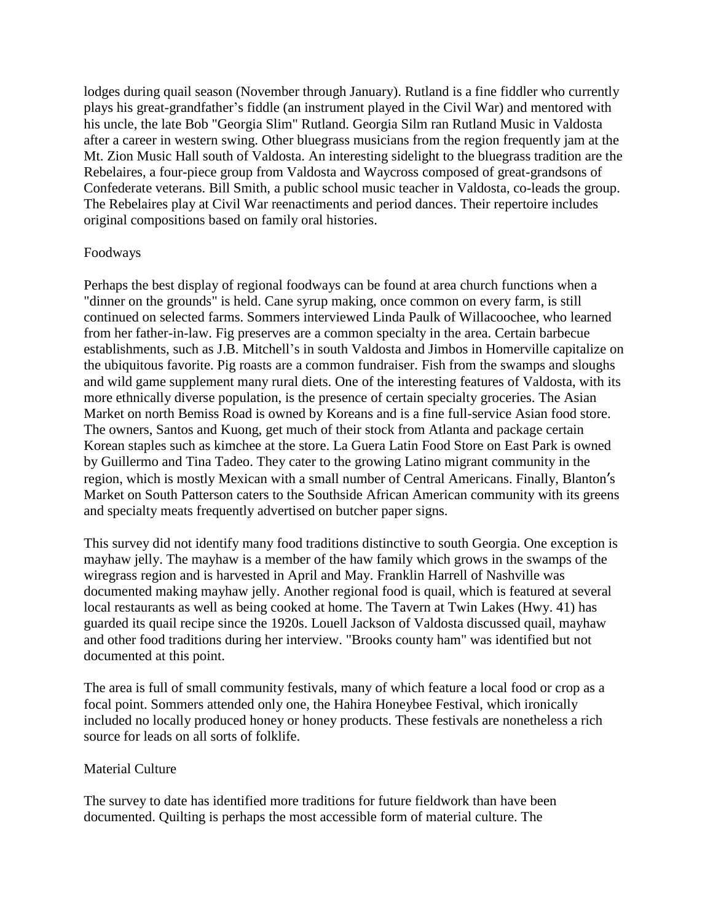lodges during quail season (November through January). Rutland is a fine fiddler who currently plays his great-grandfather's fiddle (an instrument played in the Civil War) and mentored with his uncle, the late Bob "Georgia Slim" Rutland. Georgia Silm ran Rutland Music in Valdosta after a career in western swing. Other bluegrass musicians from the region frequently jam at the Mt. Zion Music Hall south of Valdosta. An interesting sidelight to the bluegrass tradition are the Rebelaires, a four-piece group from Valdosta and Waycross composed of great-grandsons of Confederate veterans. Bill Smith, a public school music teacher in Valdosta, co-leads the group. The Rebelaires play at Civil War reenactiments and period dances. Their repertoire includes original compositions based on family oral histories.

### Foodways

Perhaps the best display of regional foodways can be found at area church functions when a "dinner on the grounds" is held. Cane syrup making, once common on every farm, is still continued on selected farms. Sommers interviewed Linda Paulk of Willacoochee, who learned from her father-in-law. Fig preserves are a common specialty in the area. Certain barbecue establishments, such as J.B. Mitchell's in south Valdosta and Jimbos in Homerville capitalize on the ubiquitous favorite. Pig roasts are a common fundraiser. Fish from the swamps and sloughs and wild game supplement many rural diets. One of the interesting features of Valdosta, with its more ethnically diverse population, is the presence of certain specialty groceries. The Asian Market on north Bemiss Road is owned by Koreans and is a fine full-service Asian food store. The owners, Santos and Kuong, get much of their stock from Atlanta and package certain Korean staples such as kimchee at the store. La Guera Latin Food Store on East Park is owned by Guillermo and Tina Tadeo. They cater to the growing Latino migrant community in the region, which is mostly Mexican with a small number of Central Americans. Finally, Blanton's Market on South Patterson caters to the Southside African American community with its greens and specialty meats frequently advertised on butcher paper signs.

This survey did not identify many food traditions distinctive to south Georgia. One exception is mayhaw jelly. The mayhaw is a member of the haw family which grows in the swamps of the wiregrass region and is harvested in April and May. Franklin Harrell of Nashville was documented making mayhaw jelly. Another regional food is quail, which is featured at several local restaurants as well as being cooked at home. The Tavern at Twin Lakes (Hwy. 41) has guarded its quail recipe since the 1920s. Louell Jackson of Valdosta discussed quail, mayhaw and other food traditions during her interview. "Brooks county ham" was identified but not documented at this point.

The area is full of small community festivals, many of which feature a local food or crop as a focal point. Sommers attended only one, the Hahira Honeybee Festival, which ironically included no locally produced honey or honey products. These festivals are nonetheless a rich source for leads on all sorts of folklife.

#### Material Culture

The survey to date has identified more traditions for future fieldwork than have been documented. Quilting is perhaps the most accessible form of material culture. The